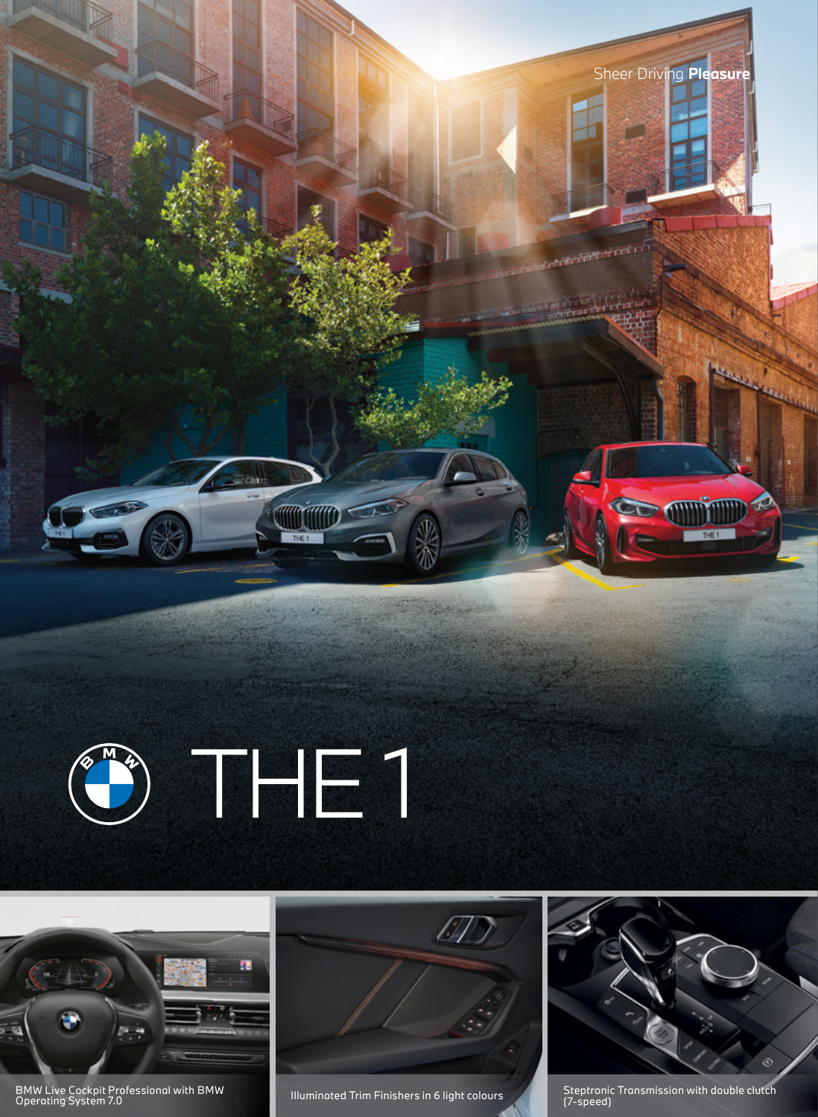





BMW Live Cockpit Professional with BMW BMW Live Cockpit Professional with BMW **Steptit Additional Conduct Artic Conduct** Steptronic Transmission with double clutch (1980) and the model of the model of the model of the model of the model of the model of the mode